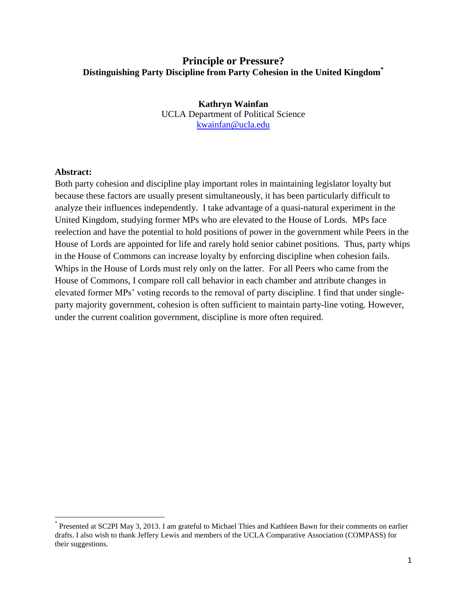# **Principle or Pressure? Distinguishing Party Discipline from Party Cohesion in the United Kingdom\***

**Kathryn Wainfan** UCLA Department of Political Science [kwainfan@ucla.edu](mailto:kwainfan@ucla.edu)

# **Abstract:**

 $\overline{\phantom{a}}$ 

Both party cohesion and discipline play important roles in maintaining legislator loyalty but because these factors are usually present simultaneously, it has been particularly difficult to analyze their influences independently. I take advantage of a quasi-natural experiment in the United Kingdom, studying former MPs who are elevated to the House of Lords. MPs face reelection and have the potential to hold positions of power in the government while Peers in the House of Lords are appointed for life and rarely hold senior cabinet positions. Thus, party whips in the House of Commons can increase loyalty by enforcing discipline when cohesion fails. Whips in the House of Lords must rely only on the latter. For all Peers who came from the House of Commons, I compare roll call behavior in each chamber and attribute changes in elevated former MPs' voting records to the removal of party discipline. I find that under singleparty majority government, cohesion is often sufficient to maintain party-line voting. However, under the current coalition government, discipline is more often required.

<sup>\*</sup> Presented at SC2PI May 3, 2013. I am grateful to Michael Thies and Kathleen Bawn for their comments on earlier drafts. I also wish to thank Jeffery Lewis and members of the UCLA Comparative Association (COMPASS) for their suggestions.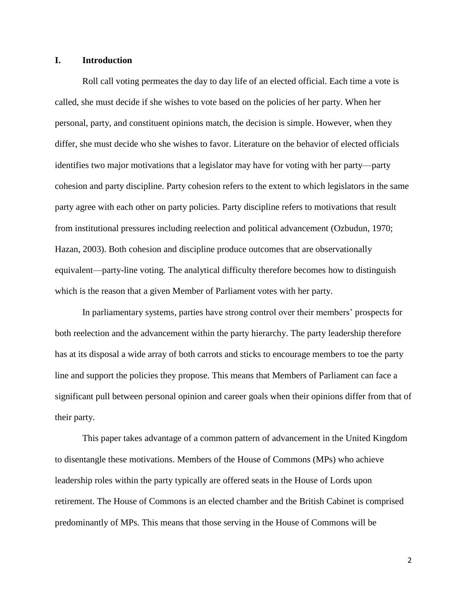# **I. Introduction**

Roll call voting permeates the day to day life of an elected official. Each time a vote is called, she must decide if she wishes to vote based on the policies of her party. When her personal, party, and constituent opinions match, the decision is simple. However, when they differ, she must decide who she wishes to favor. Literature on the behavior of elected officials identifies two major motivations that a legislator may have for voting with her party—party cohesion and party discipline. Party cohesion refers to the extent to which legislators in the same party agree with each other on party policies. Party discipline refers to motivations that result from institutional pressures including reelection and political advancement (Ozbudun, 1970; Hazan, 2003). Both cohesion and discipline produce outcomes that are observationally equivalent—party-line voting. The analytical difficulty therefore becomes how to distinguish which is the reason that a given Member of Parliament votes with her party.

In parliamentary systems, parties have strong control over their members' prospects for both reelection and the advancement within the party hierarchy. The party leadership therefore has at its disposal a wide array of both carrots and sticks to encourage members to toe the party line and support the policies they propose. This means that Members of Parliament can face a significant pull between personal opinion and career goals when their opinions differ from that of their party.

This paper takes advantage of a common pattern of advancement in the United Kingdom to disentangle these motivations. Members of the House of Commons (MPs) who achieve leadership roles within the party typically are offered seats in the House of Lords upon retirement. The House of Commons is an elected chamber and the British Cabinet is comprised predominantly of MPs. This means that those serving in the House of Commons will be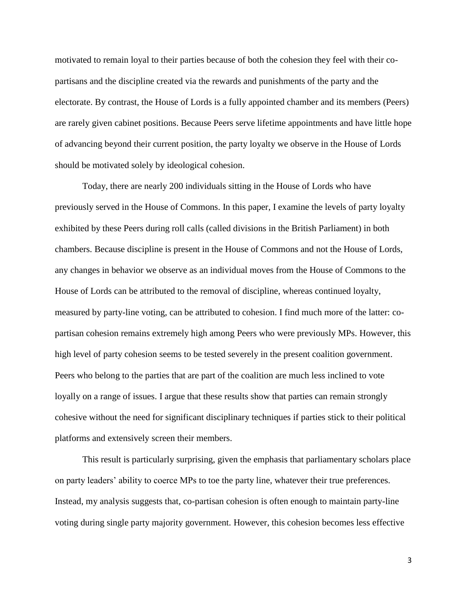motivated to remain loyal to their parties because of both the cohesion they feel with their copartisans and the discipline created via the rewards and punishments of the party and the electorate. By contrast, the House of Lords is a fully appointed chamber and its members (Peers) are rarely given cabinet positions. Because Peers serve lifetime appointments and have little hope of advancing beyond their current position, the party loyalty we observe in the House of Lords should be motivated solely by ideological cohesion.

Today, there are nearly 200 individuals sitting in the House of Lords who have previously served in the House of Commons. In this paper, I examine the levels of party loyalty exhibited by these Peers during roll calls (called divisions in the British Parliament) in both chambers. Because discipline is present in the House of Commons and not the House of Lords, any changes in behavior we observe as an individual moves from the House of Commons to the House of Lords can be attributed to the removal of discipline, whereas continued loyalty, measured by party-line voting, can be attributed to cohesion. I find much more of the latter: copartisan cohesion remains extremely high among Peers who were previously MPs. However, this high level of party cohesion seems to be tested severely in the present coalition government. Peers who belong to the parties that are part of the coalition are much less inclined to vote loyally on a range of issues. I argue that these results show that parties can remain strongly cohesive without the need for significant disciplinary techniques if parties stick to their political platforms and extensively screen their members.

This result is particularly surprising, given the emphasis that parliamentary scholars place on party leaders' ability to coerce MPs to toe the party line, whatever their true preferences. Instead, my analysis suggests that, co-partisan cohesion is often enough to maintain party-line voting during single party majority government. However, this cohesion becomes less effective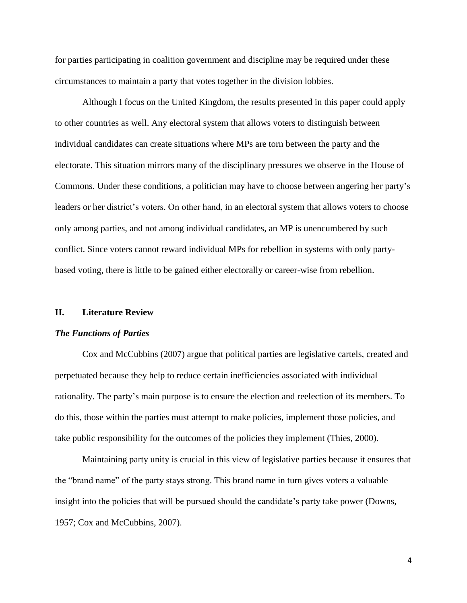for parties participating in coalition government and discipline may be required under these circumstances to maintain a party that votes together in the division lobbies.

Although I focus on the United Kingdom, the results presented in this paper could apply to other countries as well. Any electoral system that allows voters to distinguish between individual candidates can create situations where MPs are torn between the party and the electorate. This situation mirrors many of the disciplinary pressures we observe in the House of Commons. Under these conditions, a politician may have to choose between angering her party's leaders or her district's voters. On other hand, in an electoral system that allows voters to choose only among parties, and not among individual candidates, an MP is unencumbered by such conflict. Since voters cannot reward individual MPs for rebellion in systems with only partybased voting, there is little to be gained either electorally or career-wise from rebellion.

### **II. Literature Review**

#### *The Functions of Parties*

Cox and McCubbins (2007) argue that political parties are legislative cartels, created and perpetuated because they help to reduce certain inefficiencies associated with individual rationality. The party's main purpose is to ensure the election and reelection of its members. To do this, those within the parties must attempt to make policies, implement those policies, and take public responsibility for the outcomes of the policies they implement (Thies, 2000).

Maintaining party unity is crucial in this view of legislative parties because it ensures that the "brand name" of the party stays strong. This brand name in turn gives voters a valuable insight into the policies that will be pursued should the candidate's party take power (Downs, 1957; Cox and McCubbins, 2007).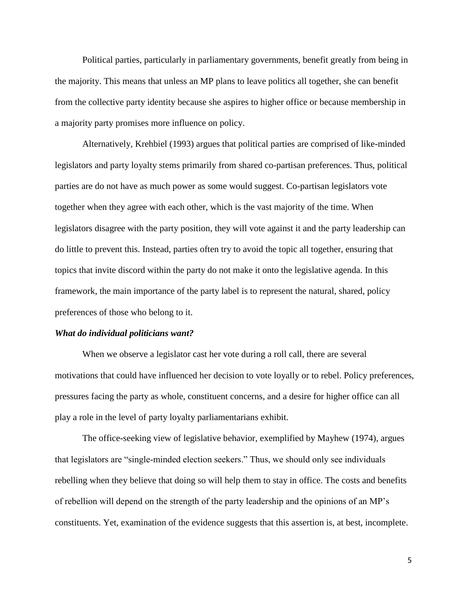Political parties, particularly in parliamentary governments, benefit greatly from being in the majority. This means that unless an MP plans to leave politics all together, she can benefit from the collective party identity because she aspires to higher office or because membership in a majority party promises more influence on policy.

Alternatively, Krehbiel (1993) argues that political parties are comprised of like-minded legislators and party loyalty stems primarily from shared co-partisan preferences. Thus, political parties are do not have as much power as some would suggest. Co-partisan legislators vote together when they agree with each other, which is the vast majority of the time. When legislators disagree with the party position, they will vote against it and the party leadership can do little to prevent this. Instead, parties often try to avoid the topic all together, ensuring that topics that invite discord within the party do not make it onto the legislative agenda. In this framework, the main importance of the party label is to represent the natural, shared, policy preferences of those who belong to it.

### *What do individual politicians want?*

When we observe a legislator cast her vote during a roll call, there are several motivations that could have influenced her decision to vote loyally or to rebel. Policy preferences, pressures facing the party as whole, constituent concerns, and a desire for higher office can all play a role in the level of party loyalty parliamentarians exhibit.

The office-seeking view of legislative behavior, exemplified by Mayhew (1974), argues that legislators are "single-minded election seekers." Thus, we should only see individuals rebelling when they believe that doing so will help them to stay in office. The costs and benefits of rebellion will depend on the strength of the party leadership and the opinions of an MP's constituents. Yet, examination of the evidence suggests that this assertion is, at best, incomplete.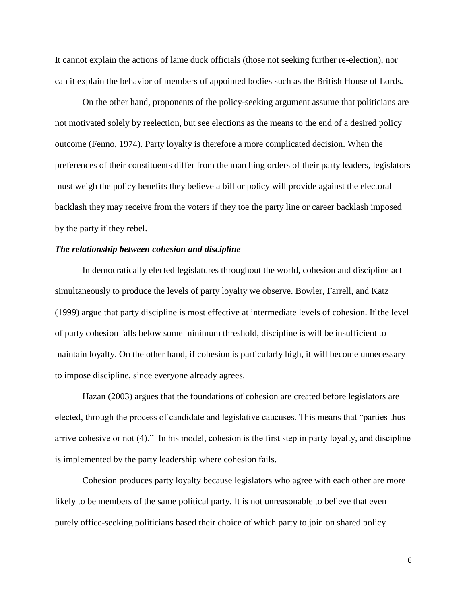It cannot explain the actions of lame duck officials (those not seeking further re-election), nor can it explain the behavior of members of appointed bodies such as the British House of Lords.

On the other hand, proponents of the policy-seeking argument assume that politicians are not motivated solely by reelection, but see elections as the means to the end of a desired policy outcome (Fenno, 1974). Party loyalty is therefore a more complicated decision. When the preferences of their constituents differ from the marching orders of their party leaders, legislators must weigh the policy benefits they believe a bill or policy will provide against the electoral backlash they may receive from the voters if they toe the party line or career backlash imposed by the party if they rebel.

# *The relationship between cohesion and discipline*

In democratically elected legislatures throughout the world, cohesion and discipline act simultaneously to produce the levels of party loyalty we observe. Bowler, Farrell, and Katz (1999) argue that party discipline is most effective at intermediate levels of cohesion. If the level of party cohesion falls below some minimum threshold, discipline is will be insufficient to maintain loyalty. On the other hand, if cohesion is particularly high, it will become unnecessary to impose discipline, since everyone already agrees.

Hazan (2003) argues that the foundations of cohesion are created before legislators are elected, through the process of candidate and legislative caucuses. This means that "parties thus arrive cohesive or not (4)." In his model, cohesion is the first step in party loyalty, and discipline is implemented by the party leadership where cohesion fails.

Cohesion produces party loyalty because legislators who agree with each other are more likely to be members of the same political party. It is not unreasonable to believe that even purely office-seeking politicians based their choice of which party to join on shared policy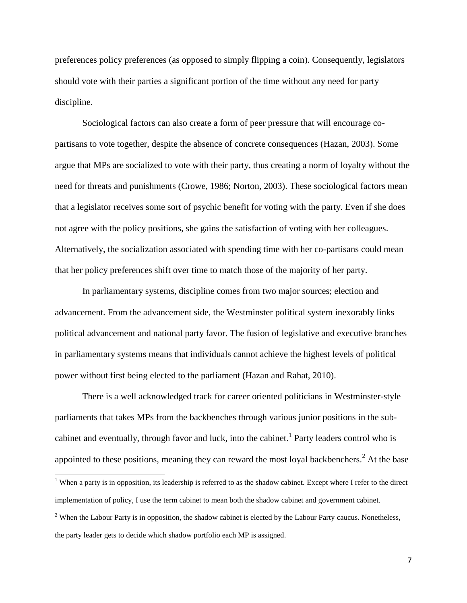preferences policy preferences (as opposed to simply flipping a coin). Consequently, legislators should vote with their parties a significant portion of the time without any need for party discipline.

Sociological factors can also create a form of peer pressure that will encourage copartisans to vote together, despite the absence of concrete consequences (Hazan, 2003). Some argue that MPs are socialized to vote with their party, thus creating a norm of loyalty without the need for threats and punishments (Crowe, 1986; Norton, 2003). These sociological factors mean that a legislator receives some sort of psychic benefit for voting with the party. Even if she does not agree with the policy positions, she gains the satisfaction of voting with her colleagues. Alternatively, the socialization associated with spending time with her co-partisans could mean that her policy preferences shift over time to match those of the majority of her party.

In parliamentary systems, discipline comes from two major sources; election and advancement. From the advancement side, the Westminster political system inexorably links political advancement and national party favor. The fusion of legislative and executive branches in parliamentary systems means that individuals cannot achieve the highest levels of political power without first being elected to the parliament (Hazan and Rahat, 2010).

There is a well acknowledged track for career oriented politicians in Westminster-style parliaments that takes MPs from the backbenches through various junior positions in the subcabinet and eventually, through favor and luck, into the cabinet. 1 Party leaders control who is appointed to these positions, meaning they can reward the most loyal backbenchers.<sup>2</sup> At the base

 $\overline{a}$ 

 $1$  When a party is in opposition, its leadership is referred to as the shadow cabinet. Except where I refer to the direct implementation of policy, I use the term cabinet to mean both the shadow cabinet and government cabinet.

 $<sup>2</sup>$  When the Labour Party is in opposition, the shadow cabinet is elected by the Labour Party caucus. Nonetheless,</sup> the party leader gets to decide which shadow portfolio each MP is assigned.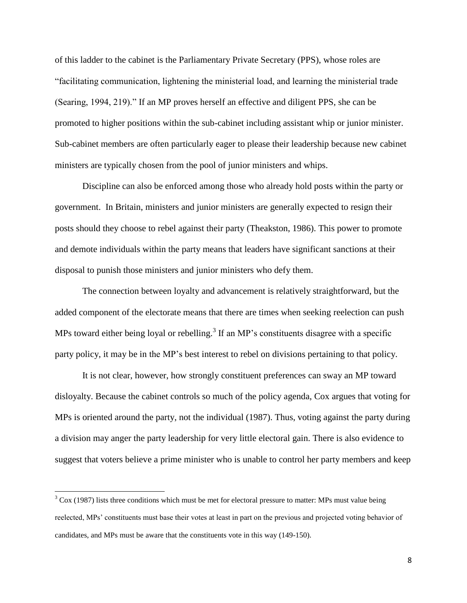of this ladder to the cabinet is the Parliamentary Private Secretary (PPS), whose roles are "facilitating communication, lightening the ministerial load, and learning the ministerial trade (Searing, 1994, 219)." If an MP proves herself an effective and diligent PPS, she can be promoted to higher positions within the sub-cabinet including assistant whip or junior minister. Sub-cabinet members are often particularly eager to please their leadership because new cabinet ministers are typically chosen from the pool of junior ministers and whips.

Discipline can also be enforced among those who already hold posts within the party or government. In Britain, ministers and junior ministers are generally expected to resign their posts should they choose to rebel against their party (Theakston, 1986). This power to promote and demote individuals within the party means that leaders have significant sanctions at their disposal to punish those ministers and junior ministers who defy them.

The connection between loyalty and advancement is relatively straightforward, but the added component of the electorate means that there are times when seeking reelection can push MPs toward either being loyal or rebelling.<sup>3</sup> If an MP's constituents disagree with a specific party policy, it may be in the MP's best interest to rebel on divisions pertaining to that policy.

It is not clear, however, how strongly constituent preferences can sway an MP toward disloyalty. Because the cabinet controls so much of the policy agenda, Cox argues that voting for MPs is oriented around the party, not the individual (1987). Thus, voting against the party during a division may anger the party leadership for very little electoral gain. There is also evidence to suggest that voters believe a prime minister who is unable to control her party members and keep

l

 $3 \text{ Cox}$  (1987) lists three conditions which must be met for electoral pressure to matter: MPs must value being reelected, MPs' constituents must base their votes at least in part on the previous and projected voting behavior of candidates, and MPs must be aware that the constituents vote in this way (149-150).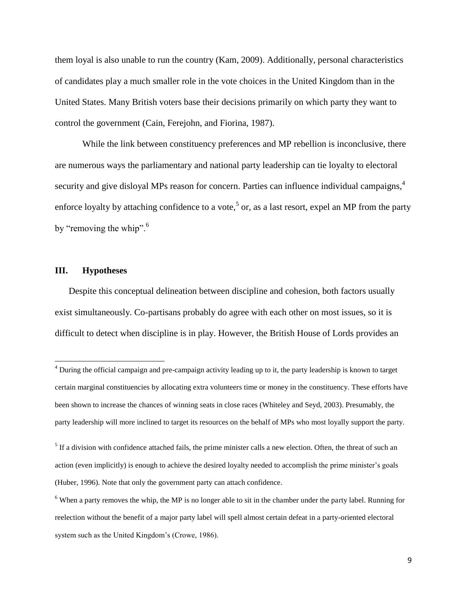them loyal is also unable to run the country (Kam, 2009). Additionally, personal characteristics of candidates play a much smaller role in the vote choices in the United Kingdom than in the United States. Many British voters base their decisions primarily on which party they want to control the government (Cain, Ferejohn, and Fiorina, 1987).

While the link between constituency preferences and MP rebellion is inconclusive, there are numerous ways the parliamentary and national party leadership can tie loyalty to electoral security and give disloyal MPs reason for concern. Parties can influence individual campaigns,<sup>4</sup> enforce loyalty by attaching confidence to a vote,<sup>5</sup> or, as a last resort, expel an MP from the party by "removing the whip".<sup>6</sup>

### **III. Hypotheses**

 $\overline{a}$ 

Despite this conceptual delineation between discipline and cohesion, both factors usually exist simultaneously. Co-partisans probably do agree with each other on most issues, so it is difficult to detect when discipline is in play. However, the British House of Lords provides an

<sup>&</sup>lt;sup>4</sup> During the official campaign and pre-campaign activity leading up to it, the party leadership is known to target certain marginal constituencies by allocating extra volunteers time or money in the constituency. These efforts have been shown to increase the chances of winning seats in close races (Whiteley and Seyd, 2003). Presumably, the party leadership will more inclined to target its resources on the behalf of MPs who most loyally support the party.

 $<sup>5</sup>$  If a division with confidence attached fails, the prime minister calls a new election. Often, the threat of such an</sup> action (even implicitly) is enough to achieve the desired loyalty needed to accomplish the prime minister's goals (Huber, 1996). Note that only the government party can attach confidence.

 $6$  When a party removes the whip, the MP is no longer able to sit in the chamber under the party label. Running for reelection without the benefit of a major party label will spell almost certain defeat in a party-oriented electoral system such as the United Kingdom's (Crowe, 1986).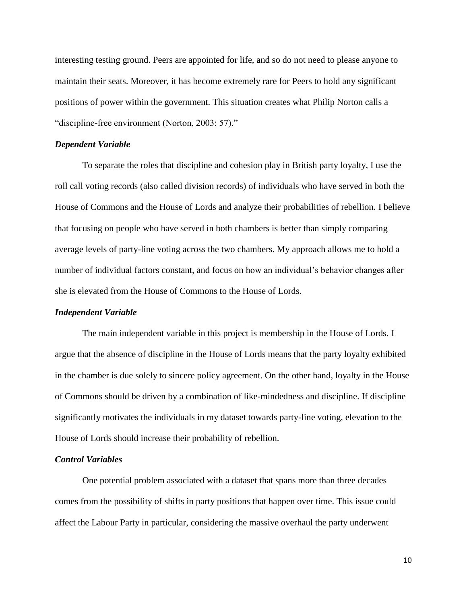interesting testing ground. Peers are appointed for life, and so do not need to please anyone to maintain their seats. Moreover, it has become extremely rare for Peers to hold any significant positions of power within the government. This situation creates what Philip Norton calls a "discipline-free environment (Norton, 2003: 57)."

# *Dependent Variable*

To separate the roles that discipline and cohesion play in British party loyalty, I use the roll call voting records (also called division records) of individuals who have served in both the House of Commons and the House of Lords and analyze their probabilities of rebellion. I believe that focusing on people who have served in both chambers is better than simply comparing average levels of party-line voting across the two chambers. My approach allows me to hold a number of individual factors constant, and focus on how an individual's behavior changes after she is elevated from the House of Commons to the House of Lords.

### *Independent Variable*

The main independent variable in this project is membership in the House of Lords. I argue that the absence of discipline in the House of Lords means that the party loyalty exhibited in the chamber is due solely to sincere policy agreement. On the other hand, loyalty in the House of Commons should be driven by a combination of like-mindedness and discipline. If discipline significantly motivates the individuals in my dataset towards party-line voting, elevation to the House of Lords should increase their probability of rebellion.

### *Control Variables*

One potential problem associated with a dataset that spans more than three decades comes from the possibility of shifts in party positions that happen over time. This issue could affect the Labour Party in particular, considering the massive overhaul the party underwent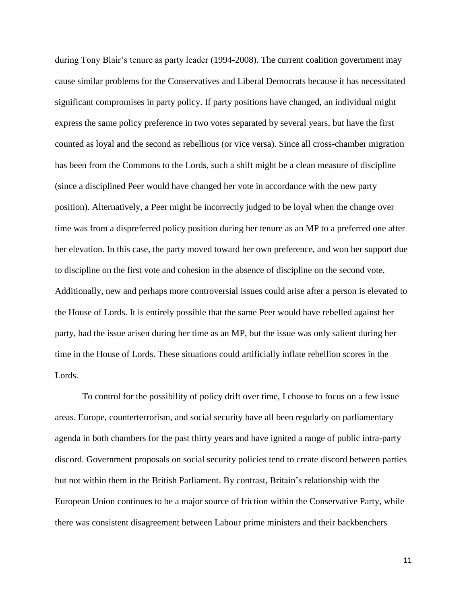during Tony Blair's tenure as party leader (1994-2008). The current coalition government may cause similar problems for the Conservatives and Liberal Democrats because it has necessitated significant compromises in party policy. If party positions have changed, an individual might express the same policy preference in two votes separated by several years, but have the first counted as loyal and the second as rebellious (or vice versa). Since all cross-chamber migration has been from the Commons to the Lords, such a shift might be a clean measure of discipline (since a disciplined Peer would have changed her vote in accordance with the new party position). Alternatively, a Peer might be incorrectly judged to be loyal when the change over time was from a dispreferred policy position during her tenure as an MP to a preferred one after her elevation. In this case, the party moved toward her own preference, and won her support due to discipline on the first vote and cohesion in the absence of discipline on the second vote. Additionally, new and perhaps more controversial issues could arise after a person is elevated to the House of Lords. It is entirely possible that the same Peer would have rebelled against her party, had the issue arisen during her time as an MP, but the issue was only salient during her time in the House of Lords. These situations could artificially inflate rebellion scores in the Lords.

To control for the possibility of policy drift over time, I choose to focus on a few issue areas. Europe, counterterrorism, and social security have all been regularly on parliamentary agenda in both chambers for the past thirty years and have ignited a range of public intra-party discord. Government proposals on social security policies tend to create discord between parties but not within them in the British Parliament. By contrast, Britain's relationship with the European Union continues to be a major source of friction within the Conservative Party, while there was consistent disagreement between Labour prime ministers and their backbenchers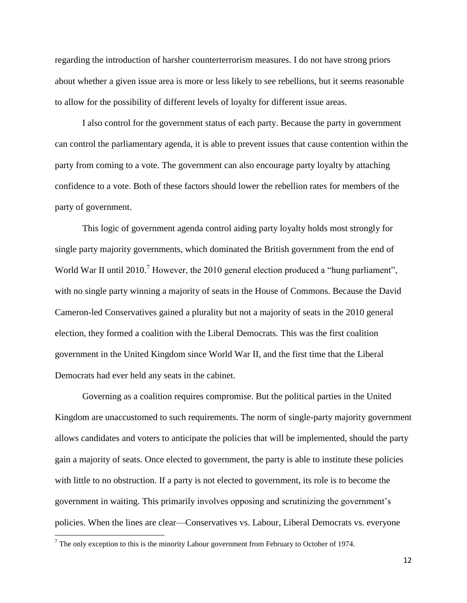regarding the introduction of harsher counterterrorism measures. I do not have strong priors about whether a given issue area is more or less likely to see rebellions, but it seems reasonable to allow for the possibility of different levels of loyalty for different issue areas.

I also control for the government status of each party. Because the party in government can control the parliamentary agenda, it is able to prevent issues that cause contention within the party from coming to a vote. The government can also encourage party loyalty by attaching confidence to a vote. Both of these factors should lower the rebellion rates for members of the party of government.

This logic of government agenda control aiding party loyalty holds most strongly for single party majority governments, which dominated the British government from the end of World War II until 2010.<sup>7</sup> However, the 2010 general election produced a "hung parliament", with no single party winning a majority of seats in the House of Commons. Because the David Cameron-led Conservatives gained a plurality but not a majority of seats in the 2010 general election, they formed a coalition with the Liberal Democrats. This was the first coalition government in the United Kingdom since World War II, and the first time that the Liberal Democrats had ever held any seats in the cabinet.

Governing as a coalition requires compromise. But the political parties in the United Kingdom are unaccustomed to such requirements. The norm of single-party majority government allows candidates and voters to anticipate the policies that will be implemented, should the party gain a majority of seats. Once elected to government, the party is able to institute these policies with little to no obstruction. If a party is not elected to government, its role is to become the government in waiting. This primarily involves opposing and scrutinizing the government's policies. When the lines are clear—Conservatives vs. Labour, Liberal Democrats vs. everyone

 $\overline{\phantom{a}}$ 

 $<sup>7</sup>$  The only exception to this is the minority Labour government from February to October of 1974.</sup>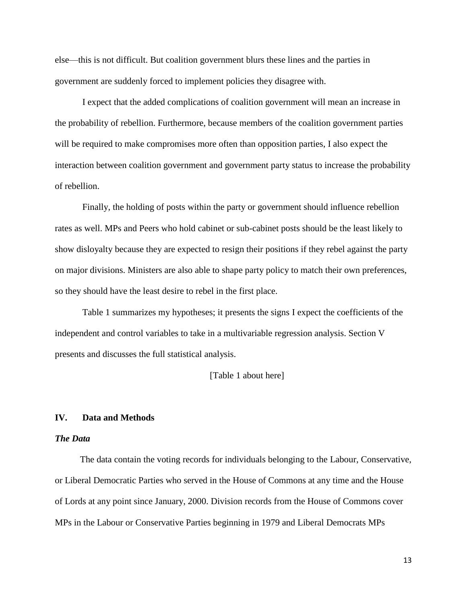else—this is not difficult. But coalition government blurs these lines and the parties in government are suddenly forced to implement policies they disagree with.

I expect that the added complications of coalition government will mean an increase in the probability of rebellion. Furthermore, because members of the coalition government parties will be required to make compromises more often than opposition parties, I also expect the interaction between coalition government and government party status to increase the probability of rebellion.

Finally, the holding of posts within the party or government should influence rebellion rates as well. MPs and Peers who hold cabinet or sub-cabinet posts should be the least likely to show disloyalty because they are expected to resign their positions if they rebel against the party on major divisions. Ministers are also able to shape party policy to match their own preferences, so they should have the least desire to rebel in the first place.

Table 1 summarizes my hypotheses; it presents the signs I expect the coefficients of the independent and control variables to take in a multivariable regression analysis. Section V presents and discusses the full statistical analysis.

[Table 1 about here]

### **IV. Data and Methods**

#### *The Data*

The data contain the voting records for individuals belonging to the Labour, Conservative, or Liberal Democratic Parties who served in the House of Commons at any time and the House of Lords at any point since January, 2000. Division records from the House of Commons cover MPs in the Labour or Conservative Parties beginning in 1979 and Liberal Democrats MPs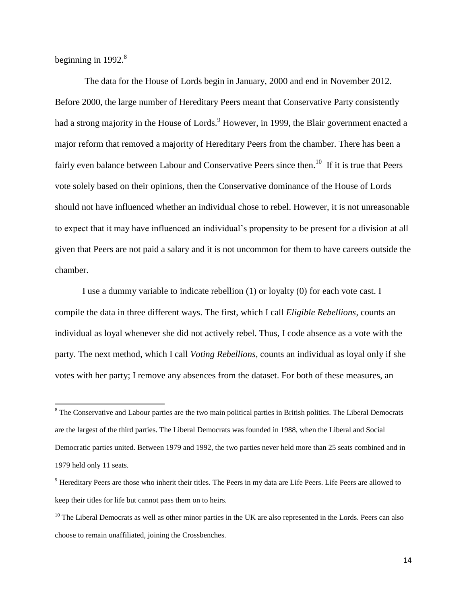beginning in 1992.<sup>8</sup>

 $\overline{\phantom{a}}$ 

The data for the House of Lords begin in January, 2000 and end in November 2012. Before 2000, the large number of Hereditary Peers meant that Conservative Party consistently had a strong majority in the House of Lords.<sup>9</sup> However, in 1999, the Blair government enacted a major reform that removed a majority of Hereditary Peers from the chamber. There has been a fairly even balance between Labour and Conservative Peers since then.<sup>10</sup> If it is true that Peers vote solely based on their opinions, then the Conservative dominance of the House of Lords should not have influenced whether an individual chose to rebel. However, it is not unreasonable to expect that it may have influenced an individual's propensity to be present for a division at all given that Peers are not paid a salary and it is not uncommon for them to have careers outside the chamber.

I use a dummy variable to indicate rebellion (1) or loyalty (0) for each vote cast. I compile the data in three different ways. The first, which I call *Eligible Rebellions*, counts an individual as loyal whenever she did not actively rebel. Thus, I code absence as a vote with the party. The next method, which I call *Voting Rebellions*, counts an individual as loyal only if she votes with her party; I remove any absences from the dataset. For both of these measures, an

<sup>&</sup>lt;sup>8</sup> The Conservative and Labour parties are the two main political parties in British politics. The Liberal Democrats are the largest of the third parties. The Liberal Democrats was founded in 1988, when the Liberal and Social Democratic parties united. Between 1979 and 1992, the two parties never held more than 25 seats combined and in 1979 held only 11 seats.

<sup>9</sup> Hereditary Peers are those who inherit their titles. The Peers in my data are Life Peers. Life Peers are allowed to keep their titles for life but cannot pass them on to heirs.

<sup>&</sup>lt;sup>10</sup> The Liberal Democrats as well as other minor parties in the UK are also represented in the Lords. Peers can also choose to remain unaffiliated, joining the Crossbenches.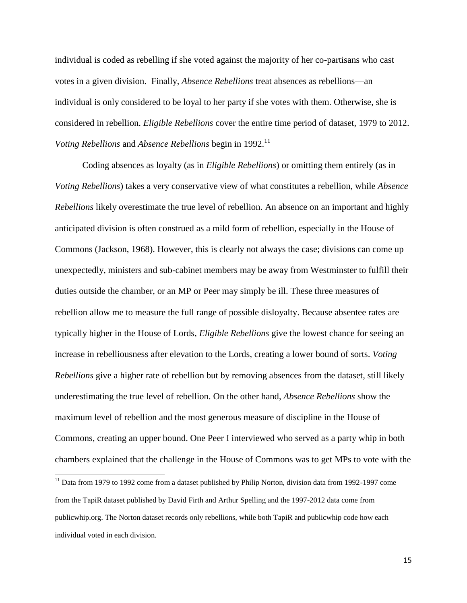individual is coded as rebelling if she voted against the majority of her co-partisans who cast votes in a given division. Finally, *Absence Rebellions* treat absences as rebellions—an individual is only considered to be loyal to her party if she votes with them. Otherwise, she is considered in rebellion. *Eligible Rebellions* cover the entire time period of dataset, 1979 to 2012. *Voting Rebellions* and *Absence Rebellions* begin in 1992.<sup>11</sup>

Coding absences as loyalty (as in *Eligible Rebellions*) or omitting them entirely (as in *Voting Rebellions*) takes a very conservative view of what constitutes a rebellion, while *Absence Rebellions* likely overestimate the true level of rebellion. An absence on an important and highly anticipated division is often construed as a mild form of rebellion, especially in the House of Commons (Jackson, 1968). However, this is clearly not always the case; divisions can come up unexpectedly, ministers and sub-cabinet members may be away from Westminster to fulfill their duties outside the chamber, or an MP or Peer may simply be ill. These three measures of rebellion allow me to measure the full range of possible disloyalty. Because absentee rates are typically higher in the House of Lords, *Eligible Rebellions* give the lowest chance for seeing an increase in rebelliousness after elevation to the Lords, creating a lower bound of sorts. *Voting Rebellions* give a higher rate of rebellion but by removing absences from the dataset, still likely underestimating the true level of rebellion. On the other hand, *Absence Rebellions* show the maximum level of rebellion and the most generous measure of discipline in the House of Commons, creating an upper bound. One Peer I interviewed who served as a party whip in both chambers explained that the challenge in the House of Commons was to get MPs to vote with the

 $\overline{a}$ 

<sup>&</sup>lt;sup>11</sup> Data from 1979 to 1992 come from a dataset published by Philip Norton, division data from 1992-1997 come from the TapiR dataset published by David Firth and Arthur Spelling and the 1997-2012 data come from publicwhip.org. The Norton dataset records only rebellions, while both TapiR and publicwhip code how each individual voted in each division.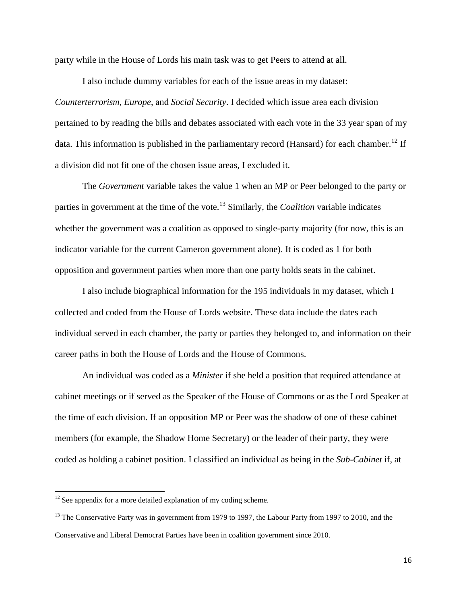party while in the House of Lords his main task was to get Peers to attend at all.

I also include dummy variables for each of the issue areas in my dataset: *Counterterrorism*, *Europe*, and *Social Security*. I decided which issue area each division pertained to by reading the bills and debates associated with each vote in the 33 year span of my data. This information is published in the parliamentary record (Hansard) for each chamber.<sup>12</sup> If a division did not fit one of the chosen issue areas, I excluded it.

The *Government* variable takes the value 1 when an MP or Peer belonged to the party or parties in government at the time of the vote.<sup>13</sup> Similarly, the *Coalition* variable indicates whether the government was a coalition as opposed to single-party majority (for now, this is an indicator variable for the current Cameron government alone). It is coded as 1 for both opposition and government parties when more than one party holds seats in the cabinet.

I also include biographical information for the 195 individuals in my dataset, which I collected and coded from the House of Lords website. These data include the dates each individual served in each chamber, the party or parties they belonged to, and information on their career paths in both the House of Lords and the House of Commons.

An individual was coded as a *Minister* if she held a position that required attendance at cabinet meetings or if served as the Speaker of the House of Commons or as the Lord Speaker at the time of each division. If an opposition MP or Peer was the shadow of one of these cabinet members (for example, the Shadow Home Secretary) or the leader of their party, they were coded as holding a cabinet position. I classified an individual as being in the *Sub-Cabinet* if, at

l

 $12$  See appendix for a more detailed explanation of my coding scheme.

<sup>&</sup>lt;sup>13</sup> The Conservative Party was in government from 1979 to 1997, the Labour Party from 1997 to 2010, and the Conservative and Liberal Democrat Parties have been in coalition government since 2010.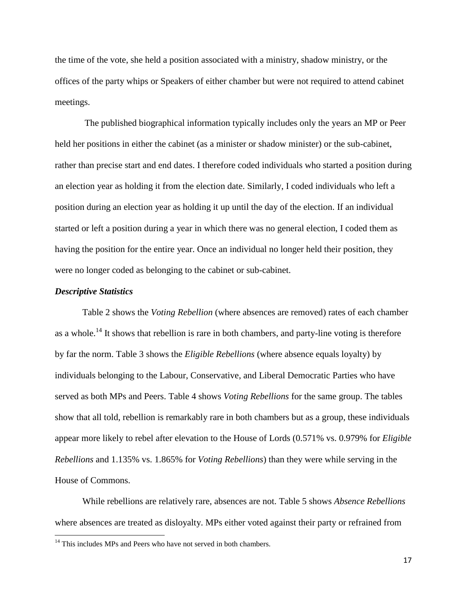the time of the vote, she held a position associated with a ministry, shadow ministry, or the offices of the party whips or Speakers of either chamber but were not required to attend cabinet meetings.

The published biographical information typically includes only the years an MP or Peer held her positions in either the cabinet (as a minister or shadow minister) or the sub-cabinet, rather than precise start and end dates. I therefore coded individuals who started a position during an election year as holding it from the election date. Similarly, I coded individuals who left a position during an election year as holding it up until the day of the election. If an individual started or left a position during a year in which there was no general election, I coded them as having the position for the entire year. Once an individual no longer held their position, they were no longer coded as belonging to the cabinet or sub-cabinet.

#### *Descriptive Statistics*

 $\overline{\phantom{a}}$ 

Table 2 shows the *Voting Rebellion* (where absences are removed) rates of each chamber as a whole.<sup>14</sup> It shows that rebellion is rare in both chambers, and party-line voting is therefore by far the norm. Table 3 shows the *Eligible Rebellions* (where absence equals loyalty) by individuals belonging to the Labour, Conservative, and Liberal Democratic Parties who have served as both MPs and Peers. Table 4 shows *Voting Rebellions* for the same group. The tables show that all told, rebellion is remarkably rare in both chambers but as a group, these individuals appear more likely to rebel after elevation to the House of Lords (0.571% vs. 0.979% for *Eligible Rebellions* and 1.135% vs. 1.865% for *Voting Rebellions*) than they were while serving in the House of Commons.

While rebellions are relatively rare, absences are not. Table 5 shows *Absence Rebellions*  where absences are treated as disloyalty. MPs either voted against their party or refrained from

 $14$  This includes MPs and Peers who have not served in both chambers.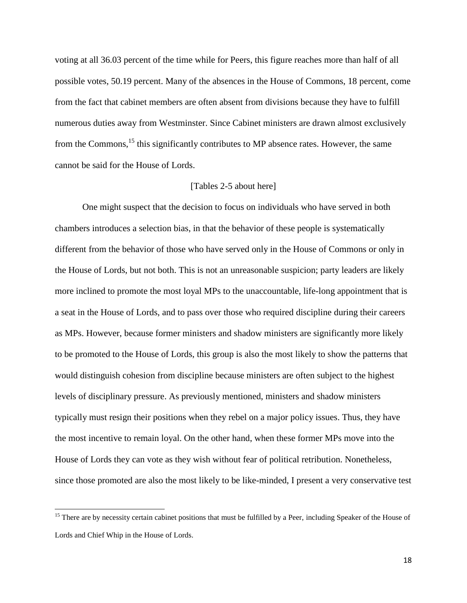voting at all 36.03 percent of the time while for Peers, this figure reaches more than half of all possible votes, 50.19 percent. Many of the absences in the House of Commons, 18 percent, come from the fact that cabinet members are often absent from divisions because they have to fulfill numerous duties away from Westminster. Since Cabinet ministers are drawn almost exclusively from the Commons,<sup>15</sup> this significantly contributes to MP absence rates. However, the same cannot be said for the House of Lords.

### [Tables 2-5 about here]

One might suspect that the decision to focus on individuals who have served in both chambers introduces a selection bias, in that the behavior of these people is systematically different from the behavior of those who have served only in the House of Commons or only in the House of Lords, but not both. This is not an unreasonable suspicion; party leaders are likely more inclined to promote the most loyal MPs to the unaccountable, life-long appointment that is a seat in the House of Lords, and to pass over those who required discipline during their careers as MPs. However, because former ministers and shadow ministers are significantly more likely to be promoted to the House of Lords, this group is also the most likely to show the patterns that would distinguish cohesion from discipline because ministers are often subject to the highest levels of disciplinary pressure. As previously mentioned, ministers and shadow ministers typically must resign their positions when they rebel on a major policy issues. Thus, they have the most incentive to remain loyal. On the other hand, when these former MPs move into the House of Lords they can vote as they wish without fear of political retribution. Nonetheless, since those promoted are also the most likely to be like-minded, I present a very conservative test

 $\overline{\phantom{a}}$ 

<sup>&</sup>lt;sup>15</sup> There are by necessity certain cabinet positions that must be fulfilled by a Peer, including Speaker of the House of Lords and Chief Whip in the House of Lords.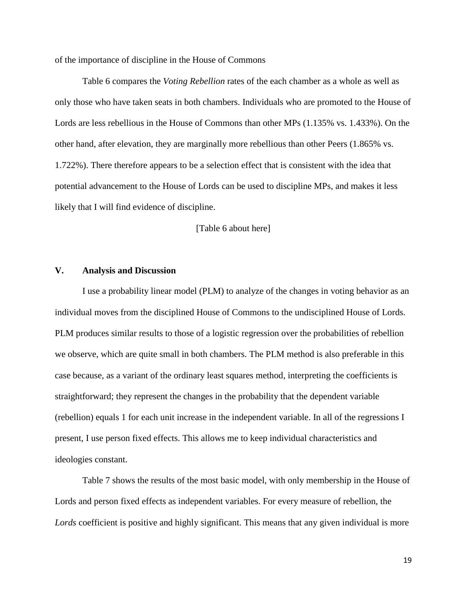of the importance of discipline in the House of Commons

Table 6 compares the *Voting Rebellion* rates of the each chamber as a whole as well as only those who have taken seats in both chambers. Individuals who are promoted to the House of Lords are less rebellious in the House of Commons than other MPs (1.135% vs. 1.433%). On the other hand, after elevation, they are marginally more rebellious than other Peers (1.865% vs. 1.722%). There therefore appears to be a selection effect that is consistent with the idea that potential advancement to the House of Lords can be used to discipline MPs, and makes it less likely that I will find evidence of discipline.

[Table 6 about here]

# **V. Analysis and Discussion**

I use a probability linear model (PLM) to analyze of the changes in voting behavior as an individual moves from the disciplined House of Commons to the undisciplined House of Lords. PLM produces similar results to those of a logistic regression over the probabilities of rebellion we observe, which are quite small in both chambers. The PLM method is also preferable in this case because, as a variant of the ordinary least squares method, interpreting the coefficients is straightforward; they represent the changes in the probability that the dependent variable (rebellion) equals 1 for each unit increase in the independent variable. In all of the regressions I present, I use person fixed effects. This allows me to keep individual characteristics and ideologies constant.

Table 7 shows the results of the most basic model, with only membership in the House of Lords and person fixed effects as independent variables. For every measure of rebellion, the *Lords* coefficient is positive and highly significant. This means that any given individual is more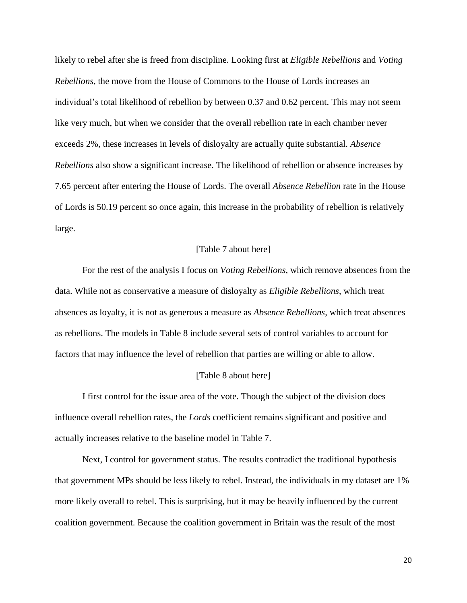likely to rebel after she is freed from discipline. Looking first at *Eligible Rebellions* and *Voting Rebellions*, the move from the House of Commons to the House of Lords increases an individual's total likelihood of rebellion by between 0.37 and 0.62 percent. This may not seem like very much, but when we consider that the overall rebellion rate in each chamber never exceeds 2%, these increases in levels of disloyalty are actually quite substantial. *Absence Rebellions* also show a significant increase. The likelihood of rebellion or absence increases by 7.65 percent after entering the House of Lords. The overall *Absence Rebellion* rate in the House of Lords is 50.19 percent so once again, this increase in the probability of rebellion is relatively large.

#### [Table 7 about here]

For the rest of the analysis I focus on *Voting Rebellions*, which remove absences from the data. While not as conservative a measure of disloyalty as *Eligible Rebellions*, which treat absences as loyalty, it is not as generous a measure as *Absence Rebellions,* which treat absences as rebellions. The models in Table 8 include several sets of control variables to account for factors that may influence the level of rebellion that parties are willing or able to allow.

#### [Table 8 about here]

I first control for the issue area of the vote. Though the subject of the division does influence overall rebellion rates, the *Lords* coefficient remains significant and positive and actually increases relative to the baseline model in Table 7.

Next, I control for government status. The results contradict the traditional hypothesis that government MPs should be less likely to rebel. Instead, the individuals in my dataset are 1% more likely overall to rebel. This is surprising, but it may be heavily influenced by the current coalition government. Because the coalition government in Britain was the result of the most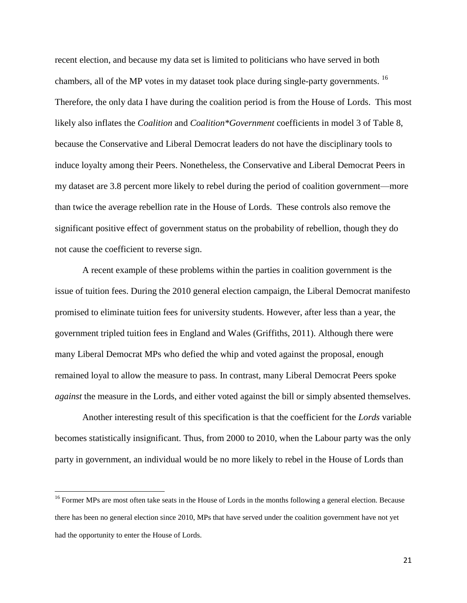recent election, and because my data set is limited to politicians who have served in both chambers, all of the MP votes in my dataset took place during single-party governments. <sup>16</sup> Therefore, the only data I have during the coalition period is from the House of Lords. This most likely also inflates the *Coalition* and *Coalition\*Government* coefficients in model 3 of Table 8, because the Conservative and Liberal Democrat leaders do not have the disciplinary tools to induce loyalty among their Peers. Nonetheless, the Conservative and Liberal Democrat Peers in my dataset are 3.8 percent more likely to rebel during the period of coalition government—more than twice the average rebellion rate in the House of Lords. These controls also remove the significant positive effect of government status on the probability of rebellion, though they do not cause the coefficient to reverse sign.

A recent example of these problems within the parties in coalition government is the issue of tuition fees. During the 2010 general election campaign, the Liberal Democrat manifesto promised to eliminate tuition fees for university students. However, after less than a year, the government tripled tuition fees in England and Wales (Griffiths, 2011). Although there were many Liberal Democrat MPs who defied the whip and voted against the proposal, enough remained loyal to allow the measure to pass. In contrast, many Liberal Democrat Peers spoke *against* the measure in the Lords, and either voted against the bill or simply absented themselves.

Another interesting result of this specification is that the coefficient for the *Lords* variable becomes statistically insignificant. Thus, from 2000 to 2010, when the Labour party was the only party in government, an individual would be no more likely to rebel in the House of Lords than

l

<sup>&</sup>lt;sup>16</sup> Former MPs are most often take seats in the House of Lords in the months following a general election. Because there has been no general election since 2010, MPs that have served under the coalition government have not yet had the opportunity to enter the House of Lords.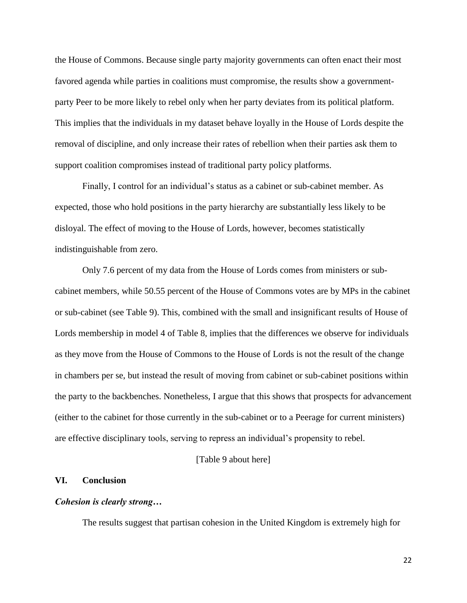the House of Commons. Because single party majority governments can often enact their most favored agenda while parties in coalitions must compromise, the results show a governmentparty Peer to be more likely to rebel only when her party deviates from its political platform. This implies that the individuals in my dataset behave loyally in the House of Lords despite the removal of discipline, and only increase their rates of rebellion when their parties ask them to support coalition compromises instead of traditional party policy platforms.

Finally, I control for an individual's status as a cabinet or sub-cabinet member. As expected, those who hold positions in the party hierarchy are substantially less likely to be disloyal. The effect of moving to the House of Lords, however, becomes statistically indistinguishable from zero.

Only 7.6 percent of my data from the House of Lords comes from ministers or subcabinet members, while 50.55 percent of the House of Commons votes are by MPs in the cabinet or sub-cabinet (see Table 9). This, combined with the small and insignificant results of House of Lords membership in model 4 of Table 8, implies that the differences we observe for individuals as they move from the House of Commons to the House of Lords is not the result of the change in chambers per se, but instead the result of moving from cabinet or sub-cabinet positions within the party to the backbenches. Nonetheless, I argue that this shows that prospects for advancement (either to the cabinet for those currently in the sub-cabinet or to a Peerage for current ministers) are effective disciplinary tools, serving to repress an individual's propensity to rebel.

### [Table 9 about here]

### **VI. Conclusion**

# *Cohesion is clearly strong…*

The results suggest that partisan cohesion in the United Kingdom is extremely high for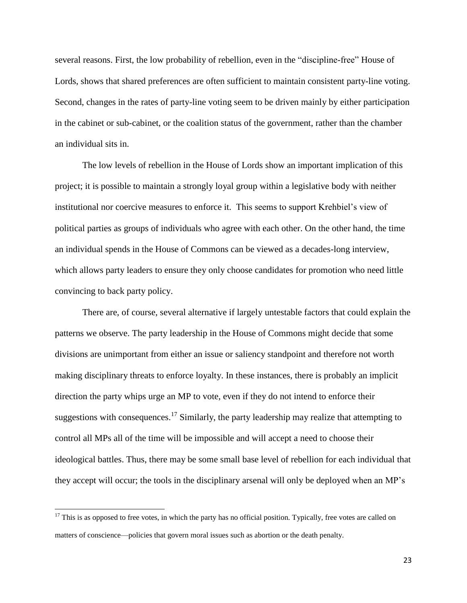several reasons. First, the low probability of rebellion, even in the "discipline-free" House of Lords, shows that shared preferences are often sufficient to maintain consistent party-line voting. Second, changes in the rates of party-line voting seem to be driven mainly by either participation in the cabinet or sub-cabinet, or the coalition status of the government, rather than the chamber an individual sits in.

The low levels of rebellion in the House of Lords show an important implication of this project; it is possible to maintain a strongly loyal group within a legislative body with neither institutional nor coercive measures to enforce it. This seems to support Krehbiel's view of political parties as groups of individuals who agree with each other. On the other hand, the time an individual spends in the House of Commons can be viewed as a decades-long interview, which allows party leaders to ensure they only choose candidates for promotion who need little convincing to back party policy.

There are, of course, several alternative if largely untestable factors that could explain the patterns we observe. The party leadership in the House of Commons might decide that some divisions are unimportant from either an issue or saliency standpoint and therefore not worth making disciplinary threats to enforce loyalty. In these instances, there is probably an implicit direction the party whips urge an MP to vote, even if they do not intend to enforce their suggestions with consequences.<sup>17</sup> Similarly, the party leadership may realize that attempting to control all MPs all of the time will be impossible and will accept a need to choose their ideological battles. Thus, there may be some small base level of rebellion for each individual that they accept will occur; the tools in the disciplinary arsenal will only be deployed when an MP's

 $\overline{\phantom{a}}$ 

 $17$  This is as opposed to free votes, in which the party has no official position. Typically, free votes are called on matters of conscience—policies that govern moral issues such as abortion or the death penalty.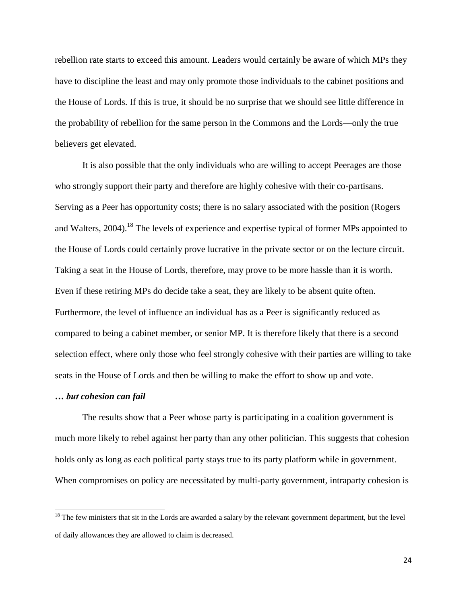rebellion rate starts to exceed this amount. Leaders would certainly be aware of which MPs they have to discipline the least and may only promote those individuals to the cabinet positions and the House of Lords. If this is true, it should be no surprise that we should see little difference in the probability of rebellion for the same person in the Commons and the Lords—only the true believers get elevated.

It is also possible that the only individuals who are willing to accept Peerages are those who strongly support their party and therefore are highly cohesive with their co-partisans. Serving as a Peer has opportunity costs; there is no salary associated with the position (Rogers and Walters,  $2004$ .<sup>18</sup> The levels of experience and expertise typical of former MPs appointed to the House of Lords could certainly prove lucrative in the private sector or on the lecture circuit. Taking a seat in the House of Lords, therefore, may prove to be more hassle than it is worth. Even if these retiring MPs do decide take a seat, they are likely to be absent quite often. Furthermore, the level of influence an individual has as a Peer is significantly reduced as compared to being a cabinet member, or senior MP. It is therefore likely that there is a second selection effect, where only those who feel strongly cohesive with their parties are willing to take seats in the House of Lords and then be willing to make the effort to show up and vote.

### *… but cohesion can fail*

 $\overline{\phantom{a}}$ 

The results show that a Peer whose party is participating in a coalition government is much more likely to rebel against her party than any other politician. This suggests that cohesion holds only as long as each political party stays true to its party platform while in government. When compromises on policy are necessitated by multi-party government, intraparty cohesion is

 $18$  The few ministers that sit in the Lords are awarded a salary by the relevant government department, but the level of daily allowances they are allowed to claim is decreased.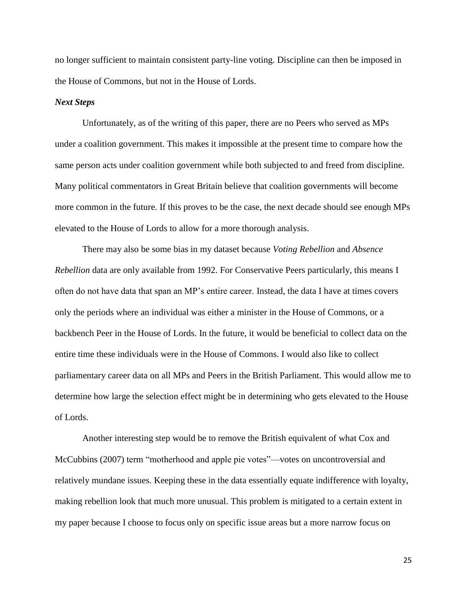no longer sufficient to maintain consistent party-line voting. Discipline can then be imposed in the House of Commons, but not in the House of Lords.

### *Next Steps*

Unfortunately, as of the writing of this paper, there are no Peers who served as MPs under a coalition government. This makes it impossible at the present time to compare how the same person acts under coalition government while both subjected to and freed from discipline. Many political commentators in Great Britain believe that coalition governments will become more common in the future. If this proves to be the case, the next decade should see enough MPs elevated to the House of Lords to allow for a more thorough analysis.

There may also be some bias in my dataset because *Voting Rebellion* and *Absence Rebellion* data are only available from 1992. For Conservative Peers particularly, this means I often do not have data that span an MP's entire career. Instead, the data I have at times covers only the periods where an individual was either a minister in the House of Commons, or a backbench Peer in the House of Lords. In the future, it would be beneficial to collect data on the entire time these individuals were in the House of Commons. I would also like to collect parliamentary career data on all MPs and Peers in the British Parliament. This would allow me to determine how large the selection effect might be in determining who gets elevated to the House of Lords.

Another interesting step would be to remove the British equivalent of what Cox and McCubbins (2007) term "motherhood and apple pie votes"—votes on uncontroversial and relatively mundane issues. Keeping these in the data essentially equate indifference with loyalty, making rebellion look that much more unusual. This problem is mitigated to a certain extent in my paper because I choose to focus only on specific issue areas but a more narrow focus on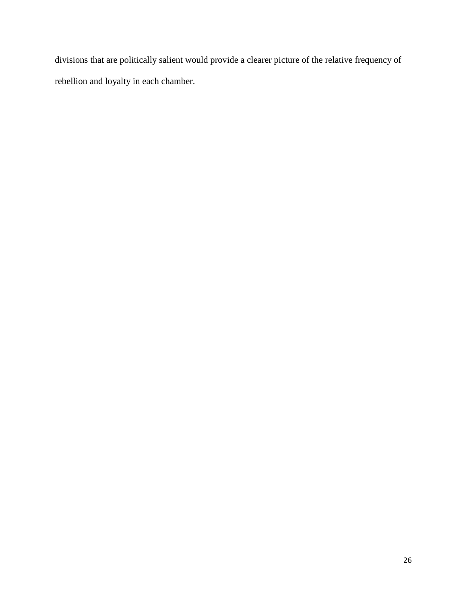divisions that are politically salient would provide a clearer picture of the relative frequency of rebellion and loyalty in each chamber.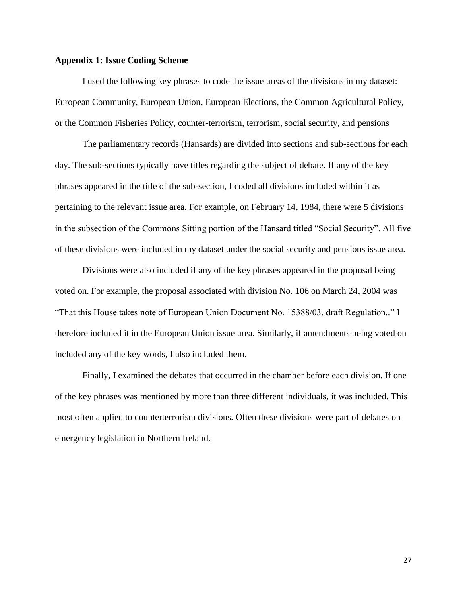### **Appendix 1: Issue Coding Scheme**

I used the following key phrases to code the issue areas of the divisions in my dataset: European Community, European Union, European Elections, the Common Agricultural Policy, or the Common Fisheries Policy, counter-terrorism, terrorism, social security, and pensions

The parliamentary records (Hansards) are divided into sections and sub-sections for each day. The sub-sections typically have titles regarding the subject of debate. If any of the key phrases appeared in the title of the sub-section, I coded all divisions included within it as pertaining to the relevant issue area. For example, on February 14, 1984, there were 5 divisions in the subsection of the Commons Sitting portion of the Hansard titled "Social Security". All five of these divisions were included in my dataset under the social security and pensions issue area.

Divisions were also included if any of the key phrases appeared in the proposal being voted on. For example, the proposal associated with division No. 106 on March 24, 2004 was "That this House takes note of European Union Document No. 15388/03, draft Regulation.." I therefore included it in the European Union issue area. Similarly, if amendments being voted on included any of the key words, I also included them.

Finally, I examined the debates that occurred in the chamber before each division. If one of the key phrases was mentioned by more than three different individuals, it was included. This most often applied to counterterrorism divisions. Often these divisions were part of debates on emergency legislation in Northern Ireland.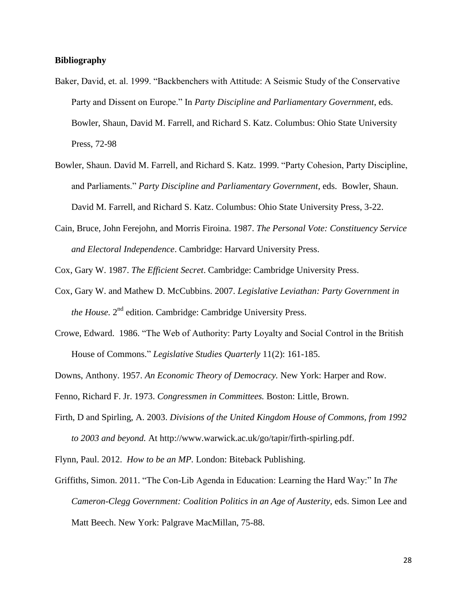# **Bibliography**

- Baker, David, et. al. 1999. "Backbenchers with Attitude: A Seismic Study of the Conservative Party and Dissent on Europe." In *Party Discipline and Parliamentary Government*, eds. Bowler, Shaun, David M. Farrell, and Richard S. Katz. Columbus: Ohio State University Press, 72-98
- Bowler, Shaun. David M. Farrell, and Richard S. Katz. 1999. "Party Cohesion, Party Discipline, and Parliaments." *Party Discipline and Parliamentary Government*, eds. Bowler, Shaun. David M. Farrell, and Richard S. Katz. Columbus: Ohio State University Press, 3-22.
- Cain, Bruce, John Ferejohn, and Morris Firoina. 1987. *The Personal Vote: Constituency Service and Electoral Independence*. Cambridge: Harvard University Press.

Cox, Gary W. 1987. *The Efficient Secret*. Cambridge: Cambridge University Press.

- Cox, Gary W. and Mathew D. McCubbins. 2007. *Legislative Leviathan: Party Government in*  the House. 2<sup>nd</sup> edition. Cambridge: Cambridge University Press.
- Crowe, Edward. 1986. "The Web of Authority: Party Loyalty and Social Control in the British House of Commons." *Legislative Studies Quarterly* 11(2): 161-185.

Downs, Anthony. 1957. *An Economic Theory of Democracy.* New York: Harper and Row.

Fenno, Richard F. Jr. 1973. *Congressmen in Committees.* Boston: Little, Brown.

Firth, D and Spirling, A. 2003. *Divisions of the United Kingdom House of Commons, from 1992 to 2003 and beyond.* At http://www.warwick.ac.uk/go/tapir/firth-spirling.pdf.

Flynn, Paul. 2012. *How to be an MP.* London: Biteback Publishing.

Griffiths, Simon. 2011. "The Con-Lib Agenda in Education: Learning the Hard Way:" In *The Cameron-Clegg Government: Coalition Politics in an Age of Austerity*, eds. Simon Lee and Matt Beech. New York: Palgrave MacMillan, 75-88.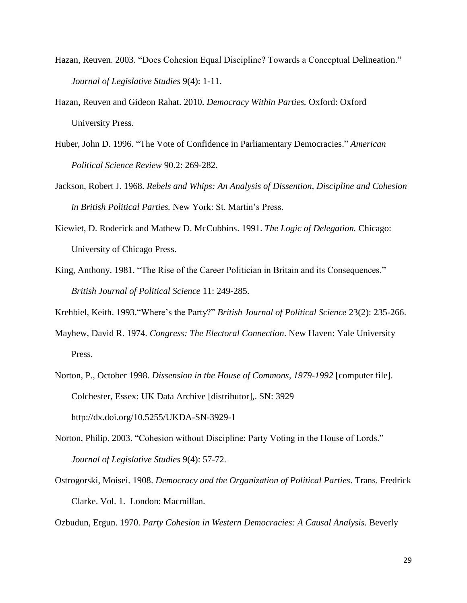- Hazan, Reuven. 2003. "Does Cohesion Equal Discipline? Towards a Conceptual Delineation." *Journal of Legislative Studies* 9(4): 1-11.
- Hazan, Reuven and Gideon Rahat. 2010. *Democracy Within Parties.* Oxford: Oxford University Press.
- Huber, John D. 1996. "The Vote of Confidence in Parliamentary Democracies." *American Political Science Review* 90.2: 269-282.
- Jackson, Robert J. 1968. *Rebels and Whips: An Analysis of Dissention, Discipline and Cohesion in British Political Parties.* New York: St. Martin's Press.
- Kiewiet, D. Roderick and Mathew D. McCubbins. 1991. *The Logic of Delegation.* Chicago: University of Chicago Press.
- King, Anthony. 1981. "The Rise of the Career Politician in Britain and its Consequences." *British Journal of Political Science* 11: 249-285.
- Krehbiel, Keith. 1993."Where's the Party?" *British Journal of Political Science* 23(2): 235-266.
- Mayhew, David R. 1974. *Congress: The Electoral Connection*. New Haven: Yale University Press.
- Norton, P., October 1998. *Dissension in the House of Commons, 1979-1992* [computer file]. Colchester, Essex: UK Data Archive [distributor],. SN: 3929 http://dx.doi.org/10.5255/UKDA-SN-3929-1
- Norton, Philip. 2003. "Cohesion without Discipline: Party Voting in the House of Lords." *Journal of Legislative Studies* 9(4): 57-72.
- Ostrogorski, Moisei. 1908. *Democracy and the Organization of Political Parties*. Trans. Fredrick Clarke. Vol. 1. London: Macmillan.

Ozbudun, Ergun. 1970. *Party Cohesion in Western Democracies: A Causal Analysis.* Beverly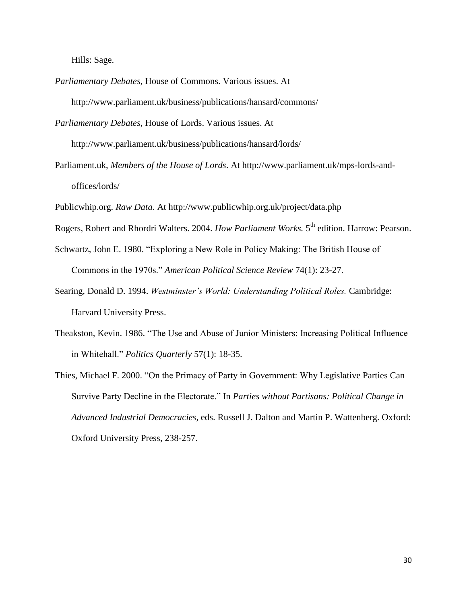Hills: Sage.

*Parliamentary Debates*, House of Commons. Various issues. At http://www.parliament.uk/business/publications/hansard/commons/

*Parliamentary Debates*, House of Lords. Various issues. At

http://www.parliament.uk/business/publications/hansard/lords/

- Parliament.uk, *Members of the House of Lords*. At http://www.parliament.uk/mps-lords-andoffices/lords/
- Publicwhip.org. *Raw Data*. At http://www.publicwhip.org.uk/project/data.php
- Rogers, Robert and Rhordri Walters. 2004. *How Parliament Works*. 5<sup>th</sup> edition. Harrow: Pearson.
- Schwartz, John E. 1980. "Exploring a New Role in Policy Making: The British House of Commons in the 1970s." *American Political Science Review* 74(1): 23-27.
- Searing, Donald D. 1994. *Westminster's World: Understanding Political Roles.* Cambridge: Harvard University Press.
- Theakston, Kevin. 1986. "The Use and Abuse of Junior Ministers: Increasing Political Influence in Whitehall." *Politics Quarterly* 57(1): 18-35.
- Thies, Michael F. 2000. "On the Primacy of Party in Government: Why Legislative Parties Can Survive Party Decline in the Electorate." In *Parties without Partisans: Political Change in Advanced Industrial Democracies*, eds. Russell J. Dalton and Martin P. Wattenberg. Oxford: Oxford University Press, 238-257.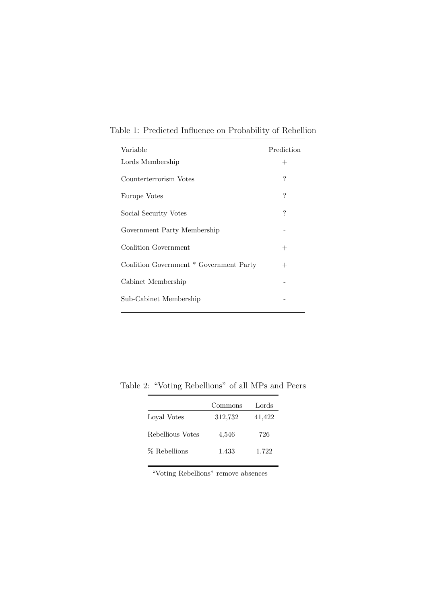| Variable                                | Prediction |
|-----------------------------------------|------------|
| Lords Membership                        | $^{+}$     |
| Counterterrorism Votes                  | ?          |
| Europe Votes                            | ?          |
| Social Security Votes                   | ?          |
| Government Party Membership             |            |
| Coalition Government                    | $^{+}$     |
| Coalition Government * Government Party | $^{+}$     |
| Cabinet Membership                      |            |
| Sub-Cabinet Membership                  |            |

Table 1: Predicted Influence on Probability of Rebellion

Table 2: "Voting Rebellions" of all MPs and Peers

÷

 $\equiv$ 

|                  | Commons | Lords  |
|------------------|---------|--------|
| Loval Votes      | 312,732 | 41,422 |
| Rebellious Votes | 4,546   | 726    |
| % Rebellions     | 1.433   | 1.722  |

"Voting Rebellions" remove absences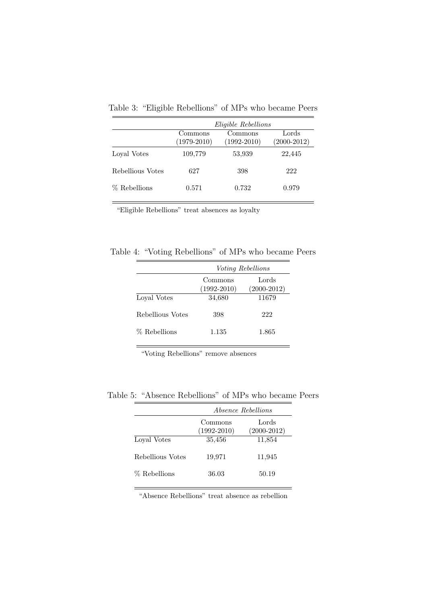|                  |                          | <i>Eligible Rebellions</i> |                          |
|------------------|--------------------------|----------------------------|--------------------------|
|                  | Commons<br>$(1979-2010)$ | Commons<br>$(1992 - 2010)$ | Lords<br>$(2000 - 2012)$ |
| Loyal Votes      | 109,779                  | 53,939                     | 22,445                   |
| Rebellious Votes | 627                      | 398                        | 222                      |
| % Rebellions     | 0.571                    | 0.732                      | 0.979                    |

Table 3: "Eligible Rebellions" of MPs who became Peers

"Eligible Rebellions" treat absences as loyalty

Table 4: "Voting Rebellions" of MPs who became Peers

|                  | Voting Rebellions          |                          |
|------------------|----------------------------|--------------------------|
|                  | Commons<br>$(1992 - 2010)$ | Lords<br>$(2000 - 2012)$ |
| Loyal Votes      | 34,680                     | 11679                    |
| Rebellious Votes | 398                        | 222                      |
| % Rebellions     | 1.135                      | 1.865                    |

"Voting Rebellions" remove absences

Table 5: "Absence Rebellions" of MPs who became Peers

|                  | <i>Absence Rebellions</i>  |                          |  |
|------------------|----------------------------|--------------------------|--|
|                  | Commons<br>$(1992 - 2010)$ | Lords<br>$(2000 - 2012)$ |  |
| Loval Votes      | 35,456                     | 11,854                   |  |
| Rebellious Votes | 19,971                     | 11,945                   |  |
| % Rebellions     | 36.03                      | 50.19                    |  |

"Absence Rebellions" treat absence as rebellion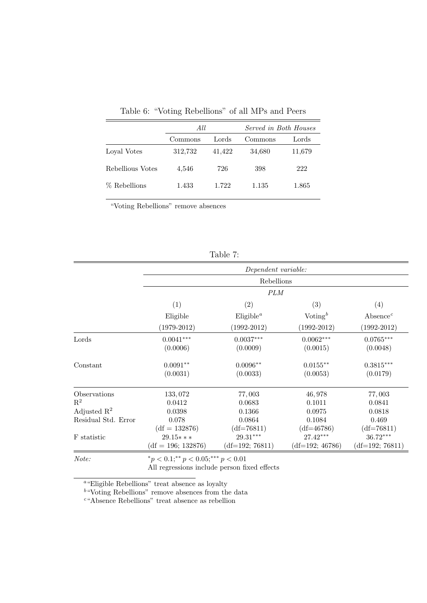|                  | All     |        | Served in Both Houses |        |
|------------------|---------|--------|-----------------------|--------|
|                  | Commons | Lords  | Commons               | Lords  |
| Loyal Votes      | 312,732 | 41,422 | 34,680                | 11,679 |
| Rebellious Votes | 4,546   | 726    | 398                   | 222    |
| % Rebellions     | 1.433   | 1.722  | 1.135                 | 1.865  |

Table 6: "Voting Rebellions" of all MPs and Peers

"Voting Rebellions" remove absences

|                         |                         | Dependent variable:     |                         |                                   |
|-------------------------|-------------------------|-------------------------|-------------------------|-----------------------------------|
|                         | Rebellions              |                         |                         |                                   |
|                         |                         | <b>PLM</b>              |                         |                                   |
|                         | (1)                     | (2)                     | (3)                     | (4)                               |
|                         | Eligible                | Eligible <sup>a</sup>   | Voting $^b$             | Absence <sup><math>c</math></sup> |
|                         | $(1979-2012)$           | $(1992 - 2012)$         | $(1992 - 2012)$         | $(1992 - 2012)$                   |
| Lords                   | $0.0041***$<br>(0.0006) | $0.0037***$<br>(0.0009) | $0.0062***$<br>(0.0015) | $0.0765***$<br>(0.0048)           |
| Constant                | $0.0091**$<br>(0.0031)  | $0.0096**$<br>(0.0033)  | $0.0155***$<br>(0.0053) | $0.3815***$<br>(0.0179)           |
|                         |                         |                         |                         |                                   |
| Observations            | 133,072                 | 77,003                  | 46,978                  | 77,003                            |
| $\mathbf{R}^2$          | 0.0412                  | 0.0683                  | 0.1011                  | 0.0841                            |
| Adjusted $\mathbb{R}^2$ | 0.0398                  | 0.1366                  | 0.0975                  | 0.0818                            |
| Residual Std. Error     | 0.078                   | 0.0864                  | 0.1084                  | 0.469                             |
|                         | $(df = 132876)$         | $(df=76811)$            | $(df=46786)$            | $(df=76811)$                      |
| F statistic             | $29.15***$              | $29.31^{\ast\ast\ast}$  | $27.42***$              | 36.72***                          |
|                         | $(df = 196; 132876)$    | $(df=192; 76811)$       | $(df=192; 46786)$       | $(df=192; 76811)$                 |
|                         |                         |                         |                         |                                   |

Table 7:

Note:  $Note:$   $* p < 0.1; * p < 0.05; ** p < 0.01$ 

All regressions include person fixed effects

<sup>a</sup>"Eligible Rebellions" treat absence as loyalty

 $b$ "Voting Rebellions" remove absences from the data

<sup>c</sup>"Absence Rebellions" treat absence as rebellion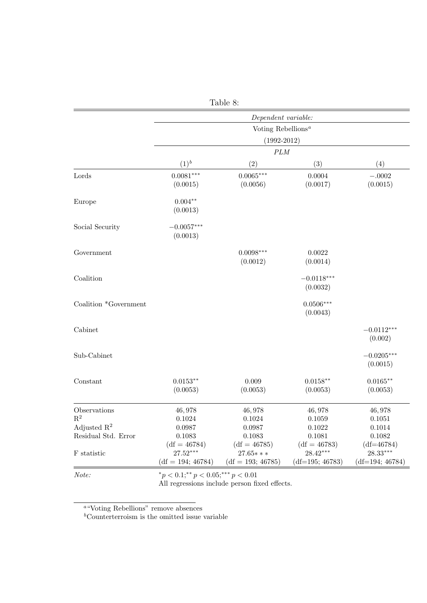| Table 8:                       |                                                         |                                                     |                                                   |                                               |
|--------------------------------|---------------------------------------------------------|-----------------------------------------------------|---------------------------------------------------|-----------------------------------------------|
|                                |                                                         | Dependent variable:                                 |                                                   |                                               |
|                                |                                                         | Voting Rebellions <sup><math>a</math></sup>         |                                                   |                                               |
|                                | $(1992 - 2012)$                                         |                                                     |                                                   |                                               |
|                                |                                                         | $\cal{P}LM$                                         |                                                   |                                               |
|                                | $(1)^b$                                                 | (2)                                                 | (3)                                               | (4)                                           |
| Lords                          | $0.0081***$<br>(0.0015)                                 | $0.0065***$<br>(0.0056)                             | 0.0004<br>(0.0017)                                | $-.0002$<br>(0.0015)                          |
| Europe                         | $0.004**$<br>(0.0013)                                   |                                                     |                                                   |                                               |
| Social Security                | $-0.0057***$<br>(0.0013)                                |                                                     |                                                   |                                               |
| Government                     |                                                         | $0.0098***$<br>(0.0012)                             | 0.0022<br>(0.0014)                                |                                               |
| Coalition                      |                                                         |                                                     | $-0.0118***$<br>(0.0032)                          |                                               |
| Coalition *Government          |                                                         |                                                     | $0.0506***$<br>(0.0043)                           |                                               |
| Cabinet                        |                                                         |                                                     |                                                   | $-0.0112***$<br>(0.002)                       |
| Sub-Cabinet                    |                                                         |                                                     |                                                   | $-0.0205***$<br>(0.0015)                      |
| Constant                       | $0.0153**$<br>(0.0053)                                  | 0.009<br>(0.0053)                                   | $0.0158**$<br>(0.0053)                            | $0.0165***$<br>(0.0053)                       |
| Observations<br>$\mathbf{R}^2$ | 46,978<br>0.1024                                        | 46,978<br>0.1024                                    | 46,978<br>0.1059                                  | 46,978<br>0.1051                              |
| Adjusted $\mathbb{R}^2$        | 0.0987                                                  | 0.0987                                              | 0.1022                                            | 0.1014                                        |
| Residual Std. Error            | 0.1083                                                  | 0.1083                                              | 0.1081                                            | 0.1082                                        |
| F statistic                    | $(df = 46784)$<br>$27.52***$<br>$(df = 194; 46784)$     | $(df = 46785)$<br>$27.65***$<br>$(df = 193; 46785)$ | $(df = 46783)$<br>$28.42***$<br>$(df=195; 46783)$ | $(df=46784)$<br>28.33***<br>$(df=194; 46784)$ |
| Note:                          | ${}^*p < 0.1;$ <sup>**</sup> $p < 0.05;$ *** $p < 0.01$ |                                                     |                                                   |                                               |

All regressions include person fixed effects.

<sup>a</sup>"Voting Rebellions" remove absences

 ${}^b$ Counterterroism is the omitted issue variable